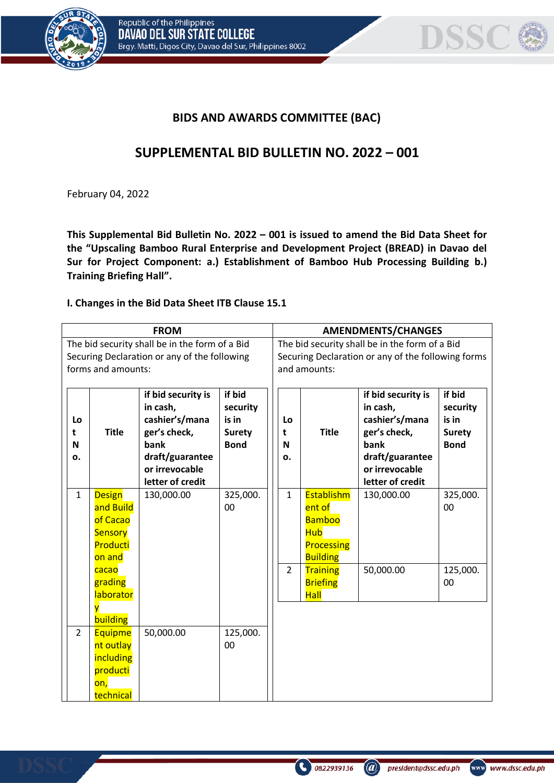



## **BIDS AND AWARDS COMMITTEE (BAC)**

## **SUPPLEMENTAL BID BULLETIN NO. 2022 – 001**

February 04, 2022

**This Supplemental Bid Bulletin No. 2022 – 001 is issued to amend the Bid Data Sheet for the "Upscaling Bamboo Rural Enterprise and Development Project (BREAD) in Davao del Sur for Project Component: a.) Establishment of Bamboo Hub Processing Building b.) Training Briefing Hall".**

## **I. Changes in the Bid Data Sheet ITB Clause 15.1**

| <b>FROM</b>                                    |                |                    |               |                                                    | <b>AMENDMENTS/CHANGES</b> |                    |               |  |
|------------------------------------------------|----------------|--------------------|---------------|----------------------------------------------------|---------------------------|--------------------|---------------|--|
| The bid security shall be in the form of a Bid |                |                    |               | The bid security shall be in the form of a Bid     |                           |                    |               |  |
| Securing Declaration or any of the following   |                |                    |               | Securing Declaration or any of the following forms |                           |                    |               |  |
| forms and amounts:                             |                |                    |               | and amounts:                                       |                           |                    |               |  |
|                                                |                |                    |               |                                                    |                           |                    |               |  |
|                                                |                | if bid security is | if bid        |                                                    |                           | if bid security is | if bid        |  |
|                                                |                | in cash,           | security      |                                                    |                           | in cash,           | security      |  |
| Lo                                             |                | cashier's/mana     | is in         | Lo                                                 |                           | cashier's/mana     | is in         |  |
| t                                              | <b>Title</b>   | ger's check,       | <b>Surety</b> | t                                                  | <b>Title</b>              | ger's check,       | <b>Surety</b> |  |
| N                                              |                | bank               | <b>Bond</b>   | N                                                  |                           | bank               | <b>Bond</b>   |  |
| о.                                             |                | draft/guarantee    |               | 0.                                                 |                           | draft/guarantee    |               |  |
|                                                |                | or irrevocable     |               |                                                    |                           | or irrevocable     |               |  |
|                                                |                | letter of credit   |               |                                                    |                           | letter of credit   |               |  |
| $\mathbf{1}$                                   | <b>Design</b>  | 130,000.00         | 325,000.      | $\mathbf{1}$                                       | <b>Establishm</b>         | 130,000.00         | 325,000.      |  |
|                                                | and Build      |                    | 00            |                                                    | ent of                    |                    | 00            |  |
|                                                | of Cacao       |                    |               |                                                    | <b>Bamboo</b>             |                    |               |  |
|                                                | Sensory        |                    |               |                                                    | <b>Hub</b>                |                    |               |  |
|                                                | Producti       |                    |               |                                                    | Processing                |                    |               |  |
|                                                | on and         |                    |               |                                                    | <b>Building</b>           |                    |               |  |
|                                                | cacao          |                    |               | $\overline{2}$                                     | <b>Training</b>           | 50,000.00          | 125,000.      |  |
|                                                | grading        |                    |               |                                                    | <b>Briefing</b>           |                    | 00            |  |
|                                                | laborator      |                    |               |                                                    | <b>Hall</b>               |                    |               |  |
|                                                |                |                    |               |                                                    |                           |                    |               |  |
|                                                | building       |                    |               |                                                    |                           |                    |               |  |
| $\overline{2}$                                 | <b>Equipme</b> | 50,000.00          | 125,000.      |                                                    |                           |                    |               |  |
|                                                | nt outlay      |                    | 00            |                                                    |                           |                    |               |  |
|                                                | including      |                    |               |                                                    |                           |                    |               |  |
|                                                | producti       |                    |               |                                                    |                           |                    |               |  |
|                                                | on,            |                    |               |                                                    |                           |                    |               |  |
|                                                | technical      |                    |               |                                                    |                           |                    |               |  |